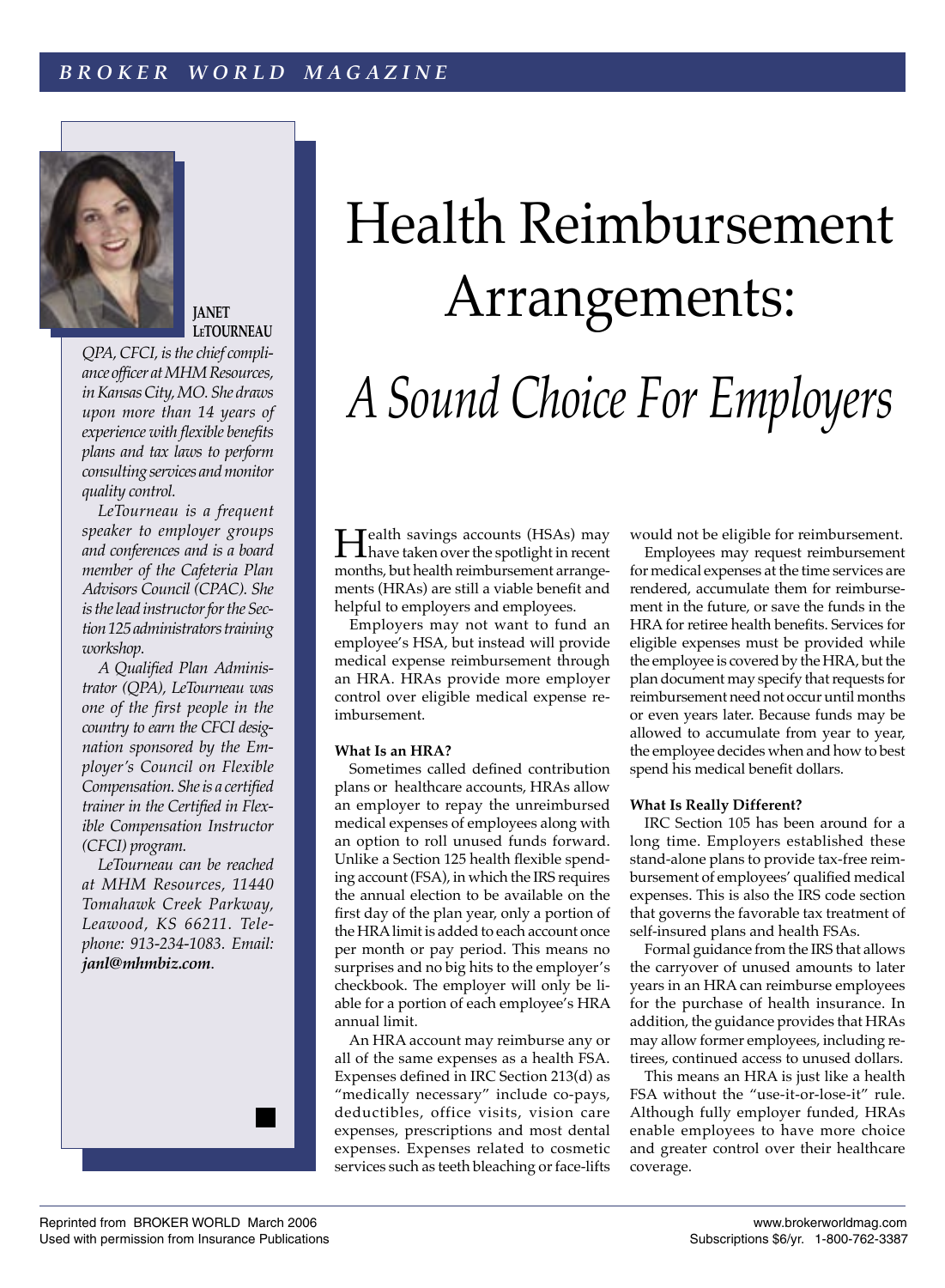

**JANET LETOURNEAU**

*QPA, CFCI, is the chief compliance officer at MHM Resources, in Kansas City, MO. She draws upon more than 14 years of experience with flexible benefits plans and tax laws to perform consulting services and monitor quality control.*

 *LeTourneau is a frequent speaker to employer groups and conferences and is a board member of the Cafeteria Plan Advisors Council (CPAC). She is the lead instructor for the Section 125 administrators training workshop.*

 *A Qualified Plan Administrator (QPA), LeTourneau was one of the first people in the country to earn the CFCI designation sponsored by the Employer's Council on Flexible Compensation. She is a certified trainer in the Certified in Flexible Compensation Instructor (CFCI) program.*

 *LeTourneau can be reached at MHM Resources, 11440 Tomahawk Creek Parkway, Leawood, KS 66211. Telephone: 913-234-1083. Email: janl@mhmbiz.com*.



Health savings accounts (HSAs) may have taken over the spotlight in recent months, but health reimbursement arrangements (HRAs) are still a viable benefit and helpful to employers and employees.

 Employers may not want to fund an employee's HSA, but instead will provide medical expense reimbursement through an HRA. HRAs provide more employer control over eligible medical expense reimbursement.

## **What Is an HRA?**

Sometimes called defined contribution plans or healthcare accounts, HRAs allow an employer to repay the unreimbursed medical expenses of employees along with an option to roll unused funds forward. Unlike a Section 125 health flexible spending account (FSA), in which the IRS requires the annual election to be available on the first day of the plan year, only a portion of the HRA limit is added to each account once per month or pay period. This means no surprises and no big hits to the employer's checkbook. The employer will only be liable for a portion of each employee's HRA annual limit.

 An HRA account may reimburse any or all of the same expenses as a health FSA. Expenses defined in IRC Section 213(d) as "medically necessary" include co-pays, deductibles, office visits, vision care expenses, prescriptions and most dental expenses. Expenses related to cosmetic services such as teeth bleaching or face-lifts

would not be eligible for reimbursement.

 Employees may request reimbursement for medical expenses at the time services are rendered, accumulate them for reimbursement in the future, or save the funds in the HRA for retiree health benefits. Services for eligible expenses must be provided while the employee is covered by the HRA, but the plan document may specify that requests for reimbursement need not occur until months or even years later. Because funds may be allowed to accumulate from year to year, the employee decides when and how to best spend his medical benefit dollars.

### **What Is Really Different?**

IRC Section 105 has been around for a long time. Employers established these stand-alone plans to provide tax-free reimbursement of employees' qualified medical expenses. This is also the IRS code section that governs the favorable tax treatment of self-insured plans and health FSAs.

 Formal guidance from the IRS that allows the carryover of unused amounts to later years in an HRA can reimburse employees for the purchase of health insurance. In addition, the guidance provides that HRAs may allow former employees, including retirees, continued access to unused dollars.

 This means an HRA is just like a health FSA without the "use-it-or-lose-it" rule. Although fully employer funded, HRAs enable employees to have more choice and greater control over their healthcare coverage.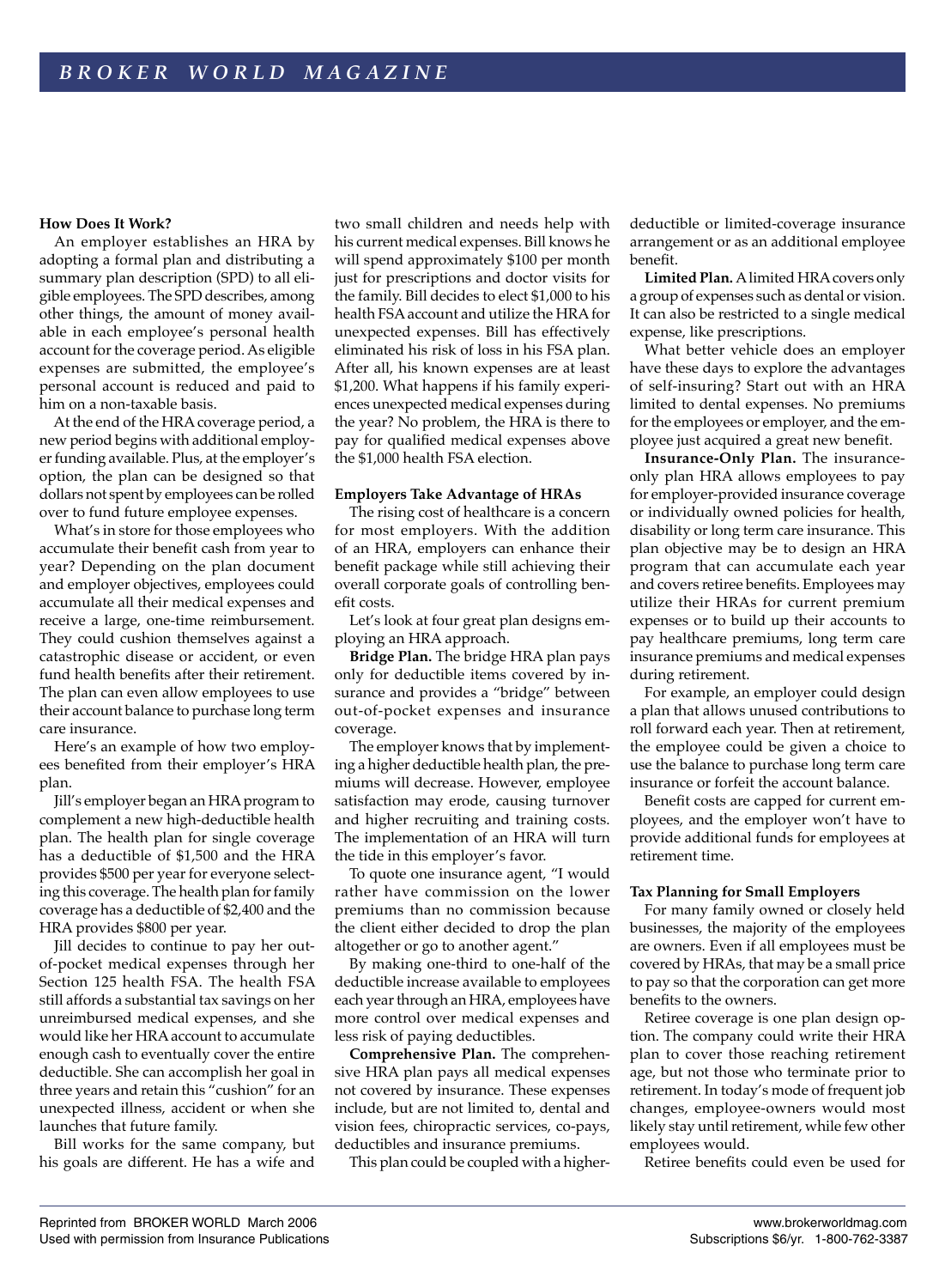# **How Does It Work?**

An employer establishes an HRA by adopting a formal plan and distributing a summary plan description (SPD) to all eligible employees. The SPD describes, among other things, the amount of money available in each employee's personal health account for the coverage period. As eligible expenses are submitted, the employee's personal account is reduced and paid to him on a non-taxable basis.

 At the end of the HRA coverage period, a new period begins with additional employer funding available. Plus, at the employer's option, the plan can be designed so that dollars not spent by employees can be rolled over to fund future employee expenses.

 What's in store for those employees who accumulate their benefit cash from year to year? Depending on the plan document and employer objectives, employees could accumulate all their medical expenses and receive a large, one-time reimbursement. They could cushion themselves against a catastrophic disease or accident, or even fund health benefits after their retirement. The plan can even allow employees to use their account balance to purchase long term care insurance.

 Here's an example of how two employees benefited from their employer's HRA plan.

 Jill's employer began an HRA program to complement a new high-deductible health plan. The health plan for single coverage has a deductible of \$1,500 and the HRA provides \$500 per year for everyone selecting this coverage. The health plan for family coverage has a deductible of \$2,400 and the HRA provides \$800 per year.

 Jill decides to continue to pay her outof-pocket medical expenses through her Section 125 health FSA. The health FSA still affords a substantial tax savings on her unreimbursed medical expenses, and she would like her HRA account to accumulate enough cash to eventually cover the entire deductible. She can accomplish her goal in three years and retain this "cushion" for an unexpected illness, accident or when she launches that future family.

 Bill works for the same company, but his goals are different. He has a wife and two small children and needs help with his current medical expenses. Bill knows he will spend approximately \$100 per month just for prescriptions and doctor visits for the family. Bill decides to elect \$1,000 to his health FSA account and utilize the HRA for unexpected expenses. Bill has effectively eliminated his risk of loss in his FSA plan. After all, his known expenses are at least \$1,200. What happens if his family experiences unexpected medical expenses during the year? No problem, the HRA is there to pay for qualified medical expenses above the \$1,000 health FSA election.

### **Employers Take Advantage of HRAs**

The rising cost of healthcare is a concern for most employers. With the addition of an HRA, employers can enhance their benefit package while still achieving their overall corporate goals of controlling benefit costs.

 Let's look at four great plan designs employing an HRA approach.

**Bridge Plan.** The bridge HRA plan pays only for deductible items covered by insurance and provides a "bridge" between out-of-pocket expenses and insurance coverage.

 The employer knows that by implementing a higher deductible health plan, the premiums will decrease. However, employee satisfaction may erode, causing turnover and higher recruiting and training costs. The implementation of an HRA will turn the tide in this employer's favor.

 To quote one insurance agent, "I would rather have commission on the lower premiums than no commission because the client either decided to drop the plan altogether or go to another agent."

 By making one-third to one-half of the deductible increase available to employees each year through an HRA, employees have more control over medical expenses and less risk of paying deductibles.

**Comprehensive Plan.** The comprehensive HRA plan pays all medical expenses not covered by insurance. These expenses include, but are not limited to, dental and vision fees, chiropractic services, co-pays, deductibles and insurance premiums.

This plan could be coupled with a higher-

deductible or limited-coverage insurance arrangement or as an additional employee benefit.

**Limited Plan.** A limited HRA covers only a group of expenses such as dental or vision. It can also be restricted to a single medical expense, like prescriptions.

 What better vehicle does an employer have these days to explore the advantages of self-insuring? Start out with an HRA limited to dental expenses. No premiums for the employees or employer, and the employee just acquired a great new benefit.

**Insurance-Only Plan.** The insuranceonly plan HRA allows employees to pay for employer-provided insurance coverage or individually owned policies for health, disability or long term care insurance. This plan objective may be to design an HRA program that can accumulate each year and covers retiree benefits. Employees may utilize their HRAs for current premium expenses or to build up their accounts to pay healthcare premiums, long term care insurance premiums and medical expenses during retirement.

 For example, an employer could design a plan that allows unused contributions to roll forward each year. Then at retirement, the employee could be given a choice to use the balance to purchase long term care insurance or forfeit the account balance.

 Benefit costs are capped for current employees, and the employer won't have to provide additional funds for employees at retirement time.

### **Tax Planning for Small Employers**

For many family owned or closely held businesses, the majority of the employees are owners. Even if all employees must be covered by HRAs, that may be a small price to pay so that the corporation can get more benefits to the owners.

 Retiree coverage is one plan design option. The company could write their HRA plan to cover those reaching retirement age, but not those who terminate prior to retirement. In today's mode of frequent job changes, employee-owners would most likely stay until retirement, while few other employees would.

Retiree benefits could even be used for